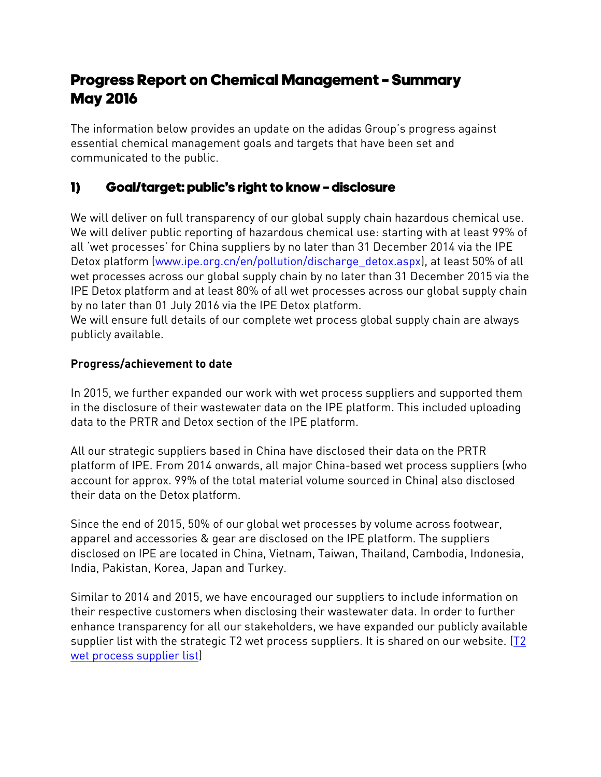# Progress Report on Chemical Management – Summary May 2016

The information below provides an update on the adidas Group's progress against essential chemical management goals and targets that have been set and communicated to the public.

## 1) Goal/target: public's right to know – disclosure

We will deliver on full transparency of our global supply chain hazardous chemical use. We will deliver public reporting of hazardous chemical use: starting with at least 99% of all 'wet processes' for China suppliers by no later than 31 December 2014 via the IPE Detox platform [\(www.ipe.org.cn/en/pollution/discharge\\_detox.aspx\)](http://www.ipe.org.cn/en/pollution/discharge_detox.aspx), at least 50% of all wet processes across our global supply chain by no later than 31 December 2015 via the IPE Detox platform and at least 80% of all wet processes across our global supply chain by no later than 01 July 2016 via the IPE Detox platform.

We will ensure full details of our complete wet process global supply chain are always publicly available.

### **Progress/achievement to date**

In 2015, we further expanded our work with wet process suppliers and supported them in the disclosure of their wastewater data on the IPE platform. This included uploading data to the PRTR and Detox section of the IPE platform.

All our strategic suppliers based in China have disclosed their data on the PRTR platform of IPE. From 2014 onwards, all major China-based wet process suppliers (who account for approx. 99% of the total material volume sourced in China) also disclosed their data on the Detox platform.

Since the end of 2015, 50% of our global wet processes by volume across footwear, apparel and accessories & gear are disclosed on the IPE platform. The suppliers disclosed on IPE are located in China, Vietnam, Taiwan, Thailand, Cambodia, Indonesia, India, Pakistan, Korea, Japan and Turkey.

Similar to 2014 and 2015, we have encouraged our suppliers to include information on their respective customers when disclosing their wastewater data. In order to further enhance transparency for all our stakeholders, we have expanded our publicly available supplier list with the strategic T2 wet process suppliers. It is shared on our website. [\(T2](http://www.adidas-group.com/media/filer_public/e1/be/e1bea106-29a3-41bd-8546-7d23108bc578/t2_suppliers_may_2016.pdf)  [wet process supplier list\)](http://www.adidas-group.com/media/filer_public/e1/be/e1bea106-29a3-41bd-8546-7d23108bc578/t2_suppliers_may_2016.pdf)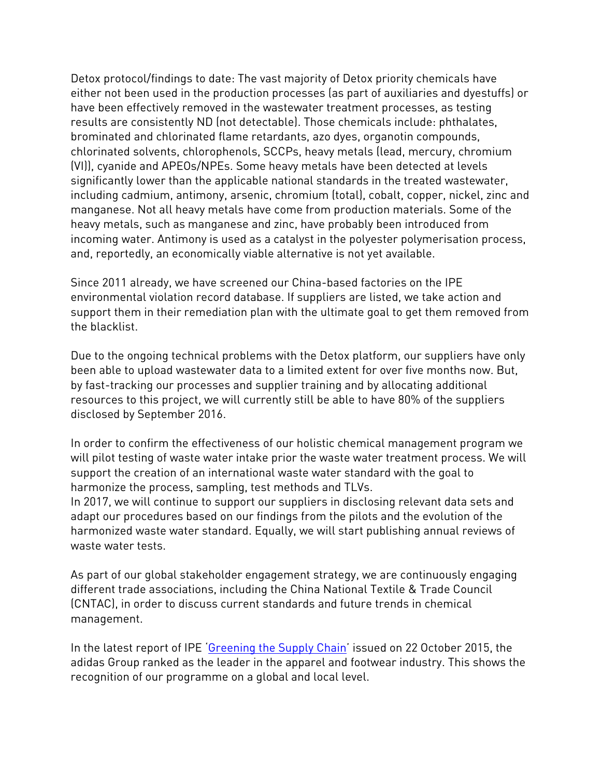Detox protocol/findings to date: The vast majority of Detox priority chemicals have either not been used in the production processes (as part of auxiliaries and dyestuffs) or have been effectively removed in the wastewater treatment processes, as testing results are consistently ND (not detectable). Those chemicals include: phthalates, brominated and chlorinated flame retardants, azo dyes, organotin compounds, chlorinated solvents, chlorophenols, SCCPs, heavy metals (lead, mercury, chromium (VI)), cyanide and APEOs/NPEs. Some heavy metals have been detected at levels significantly lower than the applicable national standards in the treated wastewater, including cadmium, antimony, arsenic, chromium (total), cobalt, copper, nickel, zinc and manganese. Not all heavy metals have come from production materials. Some of the heavy metals, such as manganese and zinc, have probably been introduced from incoming water. Antimony is used as a catalyst in the polyester polymerisation process, and, reportedly, an economically viable alternative is not yet available.

Since 2011 already, we have screened our China-based factories on the IPE environmental violation record database. If suppliers are listed, we take action and support them in their remediation plan with the ultimate goal to get them removed from the blacklist.

Due to the ongoing technical problems with the Detox platform, our suppliers have only been able to upload wastewater data to a limited extent for over five months now. But, by fast-tracking our processes and supplier training and by allocating additional resources to this project, we will currently still be able to have 80% of the suppliers disclosed by September 2016.

In order to confirm the effectiveness of our holistic chemical management program we will pilot testing of waste water intake prior the waste water treatment process. We will support the creation of an international waste water standard with the goal to harmonize the process, sampling, test methods and TLVs.

In 2017, we will continue to support our suppliers in disclosing relevant data sets and adapt our procedures based on our findings from the pilots and the evolution of the harmonized waste water standard. Equally, we will start publishing annual reviews of waste water tests.

As part of our global stakeholder engagement strategy, we are continuously engaging different trade associations, including the China National Textile & Trade Council (CNTAC), in order to discuss current standards and future trends in chemical management.

In the latest report of IPE '[Greening the Supply Chain](http://www.ipe.org.cn/en/alliance/newssec.aspx)' issued on 22 October 2015, the adidas Group ranked as the leader in the apparel and footwear industry. This shows the recognition of our programme on a global and local level.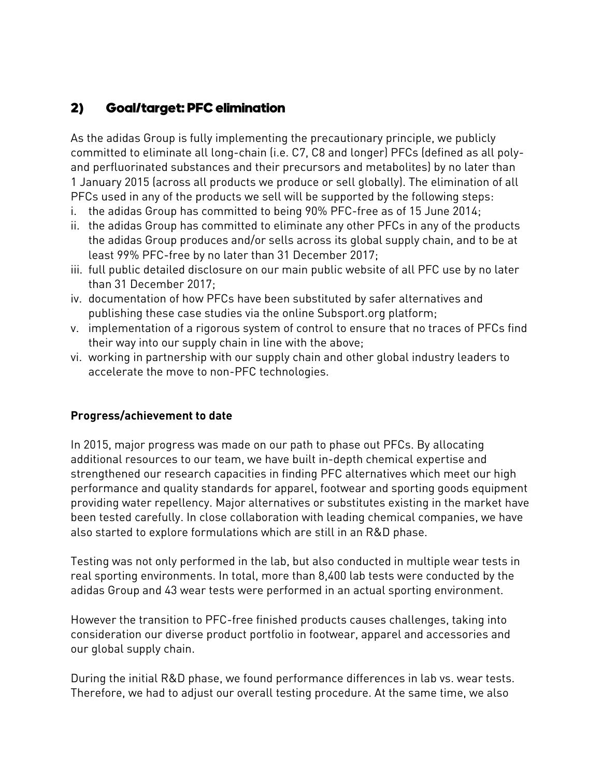## 2) Goal/target: PFC elimination

As the adidas Group is fully implementing the precautionary principle, we publicly committed to eliminate all long-chain (i.e. C7, C8 and longer) PFCs (defined as all polyand perfluorinated substances and their precursors and metabolites) by no later than 1 January 2015 (across all products we produce or sell globally). The elimination of all PFCs used in any of the products we sell will be supported by the following steps:

- i. the adidas Group has committed to being 90% PFC-free as of 15 June 2014;
- ii. the adidas Group has committed to eliminate any other PFCs in any of the products the adidas Group produces and/or sells across its global supply chain, and to be at least 99% PFC-free by no later than 31 December 2017;
- iii. full public detailed disclosure on our main public website of all PFC use by no later than 31 December 2017;
- iv. documentation of how PFCs have been substituted by safer alternatives and publishing these case studies via the online Subsport.org platform;
- v. implementation of a rigorous system of control to ensure that no traces of PFCs find their way into our supply chain in line with the above;
- vi. working in partnership with our supply chain and other global industry leaders to accelerate the move to non-PFC technologies.

### **Progress/achievement to date**

In 2015, major progress was made on our path to phase out PFCs. By allocating additional resources to our team, we have built in-depth chemical expertise and strengthened our research capacities in finding PFC alternatives which meet our high performance and quality standards for apparel, footwear and sporting goods equipment providing water repellency. Major alternatives or substitutes existing in the market have been tested carefully. In close collaboration with leading chemical companies, we have also started to explore formulations which are still in an R&D phase.

Testing was not only performed in the lab, but also conducted in multiple wear tests in real sporting environments. In total, more than 8,400 lab tests were conducted by the adidas Group and 43 wear tests were performed in an actual sporting environment.

However the transition to PFC-free finished products causes challenges, taking into consideration our diverse product portfolio in footwear, apparel and accessories and our global supply chain.

During the initial R&D phase, we found performance differences in lab vs. wear tests. Therefore, we had to adjust our overall testing procedure. At the same time, we also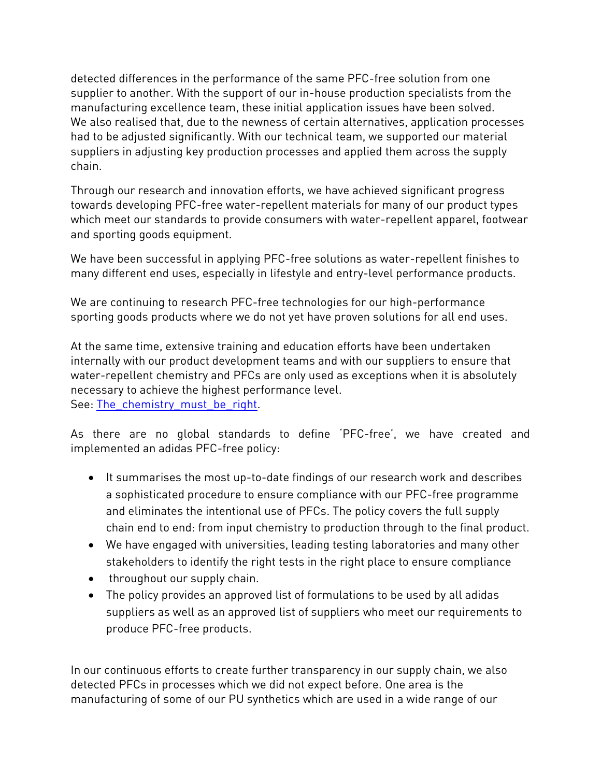detected differences in the performance of the same PFC-free solution from one supplier to another. With the support of our in-house production specialists from the manufacturing excellence team, these initial application issues have been solved. We also realised that, due to the newness of certain alternatives, application processes had to be adjusted significantly. With our technical team, we supported our material suppliers in adjusting key production processes and applied them across the supply chain.

Through our research and innovation efforts, we have achieved significant progress towards developing PFC-free water-repellent materials for many of our product types which meet our standards to provide consumers with water-repellent apparel, footwear and sporting goods equipment.

We have been successful in applying PFC-free solutions as water-repellent finishes to many different end uses, especially in lifestyle and entry-level performance products.

We are continuing to research PFC-free technologies for our high-performance sporting goods products where we do not yet have proven solutions for all end uses.

At the same time, extensive training and education efforts have been undertaken internally with our product development teams and with our suppliers to ensure that water-repellent chemistry and PFCs are only used as exceptions when it is absolutely necessary to achieve the highest performance level. See: The chemistry must be right.

As there are no global standards to define 'PFC-free', we have created and implemented an adidas PFC-free policy:

- It summarises the most up-to-date findings of our research work and describes a sophisticated procedure to ensure compliance with our PFC-free programme and eliminates the intentional use of PFCs. The policy covers the full supply chain end to end: from input chemistry to production through to the final product.
- We have engaged with universities, leading testing laboratories and many other stakeholders to identify the right tests in the right place to ensure compliance
- throughout our supply chain.
- The policy provides an approved list of formulations to be used by all adidas suppliers as well as an approved list of suppliers who meet our requirements to produce PFC-free products.

In our continuous efforts to create further transparency in our supply chain, we also detected PFCs in processes which we did not expect before. One area is the manufacturing of some of our PU synthetics which are used in a wide range of our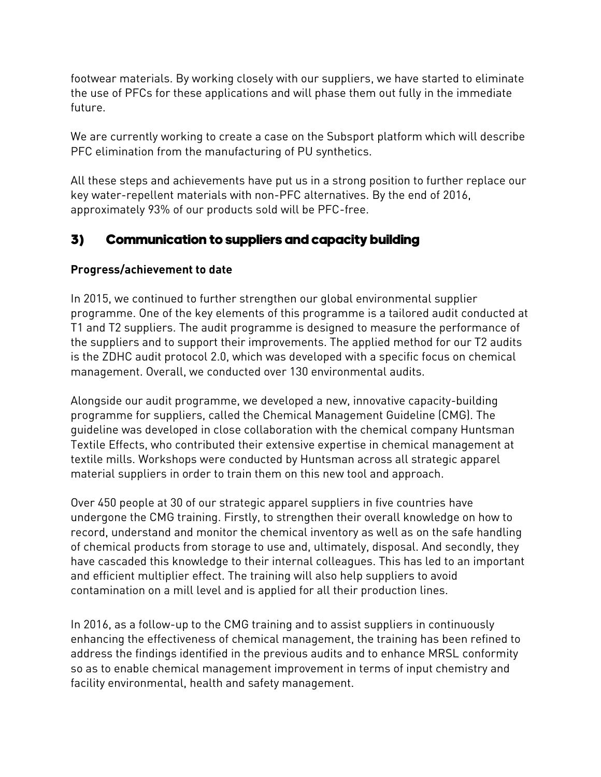footwear materials. By working closely with our suppliers, we have started to eliminate the use of PFCs for these applications and will phase them out fully in the immediate future.

We are currently working to create a case on the Subsport platform which will describe PFC elimination from the manufacturing of PU synthetics.

All these steps and achievements have put us in a strong position to further replace our key water-repellent materials with non-PFC alternatives. By the end of 2016, approximately 93% of our products sold will be PFC-free.

## 3) Communication to suppliers and capacity building

### **Progress/achievement to date**

In 2015, we continued to further strengthen our global environmental supplier programme. One of the key elements of this programme is a tailored audit conducted at T1 and T2 suppliers. The audit programme is designed to measure the performance of the suppliers and to support their improvements. The applied method for our T2 audits is the ZDHC audit protocol 2.0, which was developed with a specific focus on chemical management. Overall, we conducted over 130 environmental audits.

Alongside our audit programme, we developed a new, innovative capacity-building programme for suppliers, called the Chemical Management Guideline (CMG). The guideline was developed in close collaboration with the chemical company Huntsman Textile Effects, who contributed their extensive expertise in chemical management at textile mills. Workshops were conducted by Huntsman across all strategic apparel material suppliers in order to train them on this new tool and approach.

Over 450 people at 30 of our strategic apparel suppliers in five countries have undergone the CMG training. Firstly, to strengthen their overall knowledge on how to record, understand and monitor the chemical inventory as well as on the safe handling of chemical products from storage to use and, ultimately, disposal. And secondly, they have cascaded this knowledge to their internal colleagues. This has led to an important and efficient multiplier effect. The training will also help suppliers to avoid contamination on a mill level and is applied for all their production lines.

In 2016, as a follow-up to the CMG training and to assist suppliers in continuously enhancing the effectiveness of chemical management, the training has been refined to address the findings identified in the previous audits and to enhance MRSL conformity so as to enable chemical management improvement in terms of input chemistry and facility environmental, health and safety management.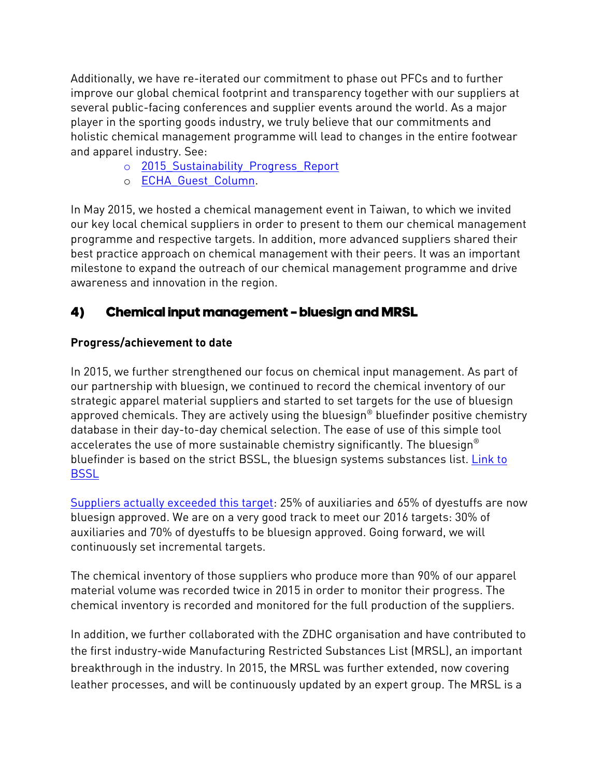Additionally, we have re-iterated our commitment to phase out PFCs and to further improve our global chemical footprint and transparency together with our suppliers at several public-facing conferences and supplier events around the world. As a major player in the sporting goods industry, we truly believe that our commitments and holistic chemical management programme will lead to changes in the entire footwear and apparel industry. See:

- o 2015 Sustainability Progress Report
- o [ECHA\\_Guest\\_Column.](http://newsletter.echa.europa.eu/home/-/newsletter/entry/1_16_innovation-transparency-and-collaboration)

In May 2015, we hosted a chemical management event in Taiwan, to which we invited our key local chemical suppliers in order to present to them our chemical management programme and respective targets. In addition, more advanced suppliers shared their best practice approach on chemical management with their peers. It was an important milestone to expand the outreach of our chemical management programme and drive awareness and innovation in the region.

## 4) Chemical input management – bluesign and MRSL

### **Progress/achievement to date**

In 2015, we further strengthened our focus on chemical input management. As part of our partnership with bluesign, we continued to record the chemical inventory of our strategic apparel material suppliers and started to set targets for the use of bluesign approved chemicals. They are actively using the bluesign® bluefinder positive chemistry database in their day-to-day chemical selection. The ease of use of this simple tool accelerates the use of more sustainable chemistry significantly. The bluesign® bluefinder is based on the strict BSSL, the bluesign systems substances list. [Link to](http://www.bluesign.com/de/industry/infocenter/downloads#.VzwpimNjIfs)  **[BSSL](http://www.bluesign.com/de/industry/infocenter/downloads#.VzwpimNjIfs)** 

[Suppliers actually exceeded this target:](http://www.adidas-group.com/en/media/news-archive/sustainability-news/2015/adidas-group-chemical-management-progress-update/) 25% of auxiliaries and 65% of dyestuffs are now bluesign approved. We are on a very good track to meet our 2016 targets: 30% of auxiliaries and 70% of dyestuffs to be bluesign approved. Going forward, we will continuously set incremental targets.

The chemical inventory of those suppliers who produce more than 90% of our apparel material volume was recorded twice in 2015 in order to monitor their progress. The chemical inventory is recorded and monitored for the full production of the suppliers.

In addition, we further collaborated with the ZDHC organisation and have contributed to the first industry-wide Manufacturing Restricted Substances List (MRSL), an important breakthrough in the industry. In 2015, the MRSL was further extended, now covering leather processes, and will be continuously updated by an expert group. The MRSL is a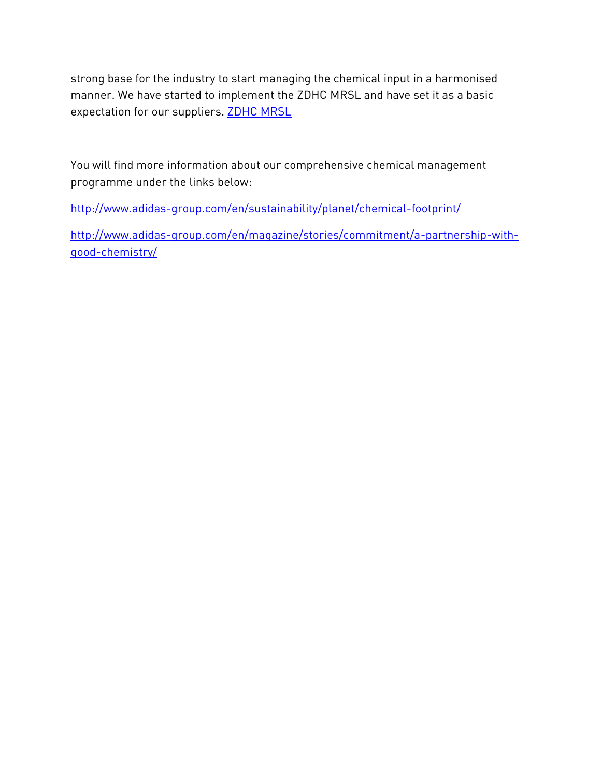strong base for the industry to start managing the chemical input in a harmonised manner. We have started to implement the ZDHC MRSL and have set it as a basic expectation for our suppliers. **[ZDHC MRSL](http://www.roadmaptozero.com/fileadmin/pdf/MRSL_v1_1.pdf)** 

You will find more information about our comprehensive chemical management programme under the links below:

<http://www.adidas-group.com/en/sustainability/planet/chemical-footprint/>

[http://www.adidas-group.com/en/magazine/stories/commitment/a-partnership-with](http://www.adidas-group.com/en/magazine/stories/commitment/a-partnership-with-good-chemistry/)[good-chemistry/](http://www.adidas-group.com/en/magazine/stories/commitment/a-partnership-with-good-chemistry/)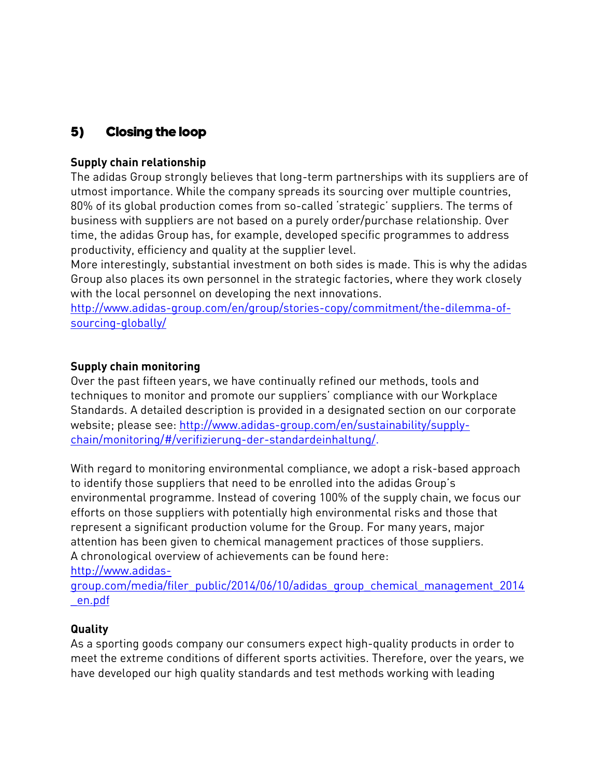## 5) Closing the loop

### **Supply chain relationship**

The adidas Group strongly believes that long-term partnerships with its suppliers are of utmost importance. While the company spreads its sourcing over multiple countries, 80% of its global production comes from so-called 'strategic' suppliers. The terms of business with suppliers are not based on a purely order/purchase relationship. Over time, the adidas Group has, for example, developed specific programmes to address productivity, efficiency and quality at the supplier level.

More interestingly, substantial investment on both sides is made. This is why the adidas Group also places its own personnel in the strategic factories, where they work closely with the local personnel on developing the next innovations.

[http://www.adidas-group.com/en/group/stories-copy/commitment/the-dilemma-of](http://www.adidas-group.com/en/group/stories-copy/commitment/the-dilemma-of-sourcing-globally/)[sourcing-globally/](http://www.adidas-group.com/en/group/stories-copy/commitment/the-dilemma-of-sourcing-globally/)

### **Supply chain monitoring**

Over the past fifteen years, we have continually refined our methods, tools and techniques to monitor and promote our suppliers' compliance with our Workplace Standards. A detailed description is provided in a designated section on our corporate website; please see: [http://www.adidas-group.com/en/sustainability/supply](http://www.adidas-group.com/en/sustainability/supply-chain/monitoring/#/verifizierung-der-standardeinhaltung/)[chain/monitoring/#/verifizierung-der-standardeinhaltung/.](http://www.adidas-group.com/en/sustainability/supply-chain/monitoring/#/verifizierung-der-standardeinhaltung/)

With regard to monitoring environmental compliance, we adopt a risk-based approach to identify those suppliers that need to be enrolled into the adidas Group's environmental programme. Instead of covering 100% of the supply chain, we focus our efforts on those suppliers with potentially high environmental risks and those that represent a significant production volume for the Group. For many years, major attention has been given to chemical management practices of those suppliers. A chronological overview of achievements can be found here:

[http://www.adidas-](http://www.adidas-group.com/media/filer_public/2014/06/10/adidas_group_chemical_management_2014_en.pdf)

[group.com/media/filer\\_public/2014/06/10/adidas\\_group\\_chemical\\_management\\_2014](http://www.adidas-group.com/media/filer_public/2014/06/10/adidas_group_chemical_management_2014_en.pdf) [\\_en.pdf](http://www.adidas-group.com/media/filer_public/2014/06/10/adidas_group_chemical_management_2014_en.pdf)

#### **Quality**

As a sporting goods company our consumers expect high-quality products in order to meet the extreme conditions of different sports activities. Therefore, over the years, we have developed our high quality standards and test methods working with leading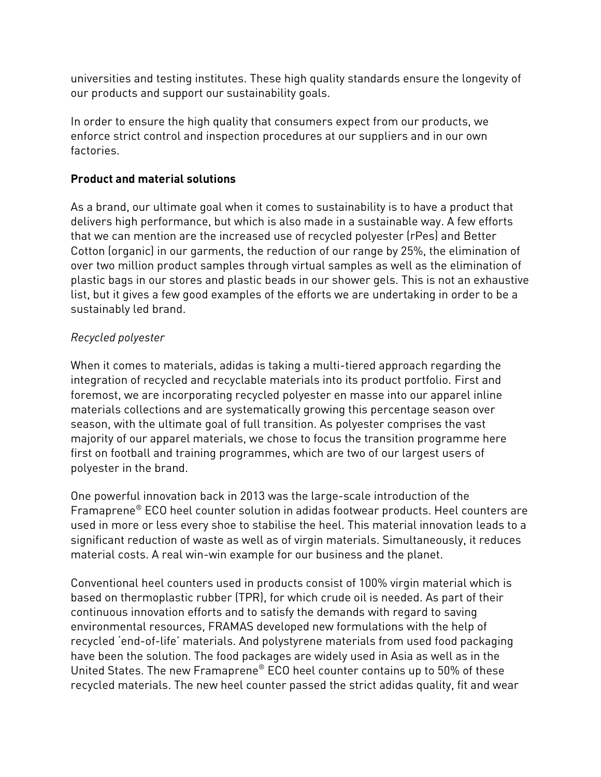universities and testing institutes. These high quality standards ensure the longevity of our products and support our sustainability goals.

In order to ensure the high quality that consumers expect from our products, we enforce strict control and inspection procedures at our suppliers and in our own factories.

### **Product and material solutions**

As a brand, our ultimate goal when it comes to sustainability is to have a product that delivers high performance, but which is also made in a sustainable way. A few efforts that we can mention are the increased use of recycled polyester (rPes) and Better Cotton (organic) in our garments, the reduction of our range by 25%, the elimination of over two million product samples through virtual samples as well as the elimination of plastic bags in our stores and plastic beads in our shower gels. This is not an exhaustive list, but it gives a few good examples of the efforts we are undertaking in order to be a sustainably led brand.

### *Recycled polyester*

When it comes to materials, adidas is taking a multi-tiered approach regarding the integration of recycled and recyclable materials into its product portfolio. First and foremost, we are incorporating recycled polyester en masse into our apparel inline materials collections and are systematically growing this percentage season over season, with the ultimate goal of full transition. As polyester comprises the vast majority of our apparel materials, we chose to focus the transition programme here first on football and training programmes, which are two of our largest users of polyester in the brand.

One powerful innovation back in 2013 was the large-scale introduction of the Framaprene® ECO heel counter solution in adidas footwear products. Heel counters are used in more or less every shoe to stabilise the heel. This material innovation leads to a significant reduction of waste as well as of virgin materials. Simultaneously, it reduces material costs. A real win-win example for our business and the planet.

Conventional heel counters used in products consist of 100% virgin material which is based on thermoplastic rubber (TPR), for which crude oil is needed. As part of their continuous innovation efforts and to satisfy the demands with regard to saving environmental resources, FRAMAS developed new formulations with the help of recycled 'end-of-life' materials. And polystyrene materials from used food packaging have been the solution. The food packages are widely used in Asia as well as in the United States. The new Framaprene® ECO heel counter contains up to 50% of these recycled materials. The new heel counter passed the strict adidas quality, fit and wear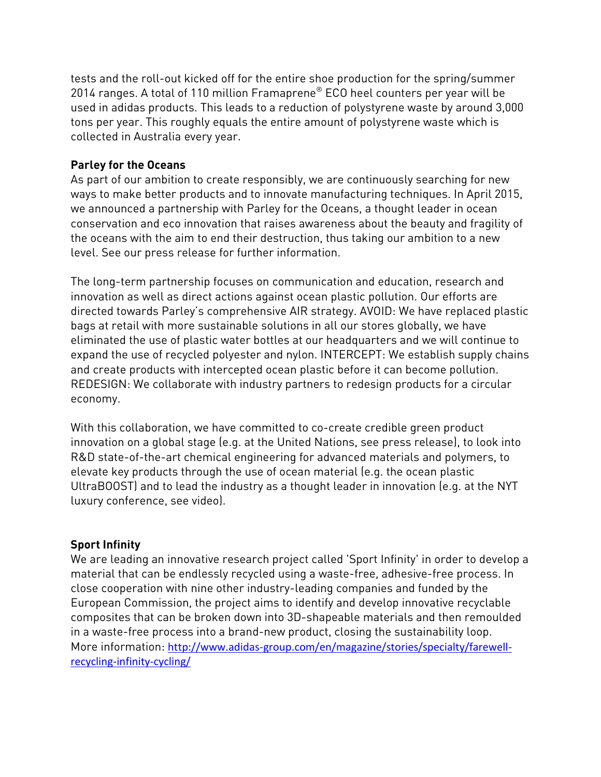tests and the roll-out kicked off for the entire shoe production for the spring/summer 2014 ranges. A total of 110 million Framaprene® ECO heel counters per year will be used in adidas products. This leads to a reduction of polystyrene waste by around 3,000 tons per year. This roughly equals the entire amount of polystyrene waste which is collected in Australia every year.

### **Parley for the Oceans**

As part of our ambition to create responsibly, we are continuously searching for new ways to make better products and to innovate manufacturing techniques. In April 2015, we announced a partnership with Parley for the Oceans, a thought leader in ocean conservation and eco innovation that raises awareness about the beauty and fragility of the oceans with the aim to end their destruction, thus taking our ambition to a new level. See our [press release](http://www.adidas-group.com/en/media/news-archive/sustainability-news/2015/adidas-group-announces-new-partnership-parley-oceans-and-launche/) for further information.

The long-term partnership focuses on communication and education, research and innovation as well as direct actions against ocean plastic pollution. Our efforts are directed towards Parley's comprehensive AIR strategy. AVOID: We have replaced plastic bags at retail with more sustainable solutions in all our stores globally, we have eliminated the use of plastic water bottles at our headquarters and we will continue to expand the use of recycled polyester and nylon. INTERCEPT: We establish supply chains and create products with intercepted ocean plastic before it can become pollution. REDESIGN: We collaborate with industry partners to redesign products for a circular economy.

With this collaboration, we have committed to co-create credible green product innovation on a global stage (e.g. at the United Nations, see [press release\)](http://www.adidas-group.com/en/media/news-archive/press-releases/2015/adidas-and-parley-oceans-showcase-sustainability-innovation-un-c/), to look into R&D state-of-the-art chemical engineering for advanced materials and polymers, to elevate key products through the use of ocean material (e.g. the ocean plastic UltraBOOST) and to lead the industry as a thought leader in innovation (e.g. at the NYT luxury conference, see [video\)](https://www.youtube.com/watch?v=ATY0gCsZ9r0&feature=youtu.be).

#### **Sport Infinity**

We are leading an innovative research project called 'Sport Infinity' in order to develop a material that can be endlessly recycled using a waste-free, adhesive-free process. In close cooperation with nine other industry-leading companies and funded by the European Commission, the project aims to identify and develop innovative recyclable composites that can be broken down into 3D-shapeable materials and then remoulded in a waste-free process into a brand-new product, closing the sustainability loop. More information: [http://www.adidas-group.com/en/magazine/stories/specialty/farewell](http://www.adidas-group.com/en/magazine/stories/specialty/farewell-recycling-infinity-cycling/)[recycling-infinity-cycling/](http://www.adidas-group.com/en/magazine/stories/specialty/farewell-recycling-infinity-cycling/)